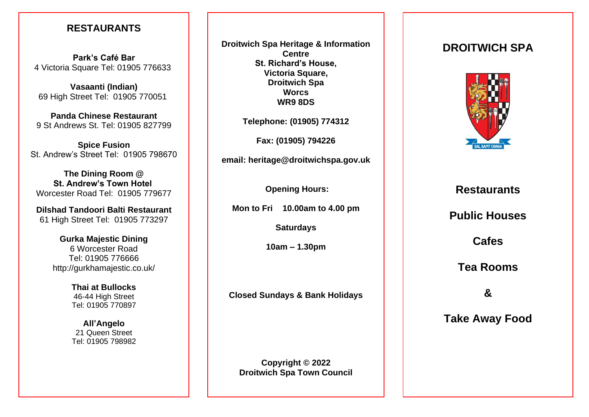## **RESTAURANTS**

**Park's Café Bar** 4 Victoria Square Tel: 01905 776633

**Vasaanti (Indian)** 69 High Street Tel: 01905 770051

**Panda Chinese Restaurant** 9 St Andrews St. Tel: 01905 827799

**Spice Fusion** St. Andrew's Street Tel: 01905 798670

**The Dining Room @ St. Andrew's Town Hotel** Worcester Road Tel: 01905 779677

**Dilshad Tandoori Balti Restaurant** 61 High Street Tel: 01905 773297

> **Gurka Majestic Dining** 6 Worcester Road Tel: 01905 776666 http://gurkhamajestic.co.uk/

> > **Thai at Bullocks** 46-44 High Street Tel: 01905 770897

> > **All'Angelo** 21 Queen Street Tel: 01905 798982

**Droitwich Spa Heritage & Information Centre St. Richard's House, Victoria Square, Droitwich Spa Worcs WR9 8DS**

**Telephone: (01905) 774312**

**Fax: (01905) 794226**

**email: heritage@droitwichspa.gov.uk**

**Opening Hours:**

**Mon to Fri 10.00am to 4.00 pm**

**Saturdays** 

**10am – 1.30pm**

**Closed Sundays & Bank Holidays**

**Copyright © 2022 Droitwich Spa Town Council**

# **DROITWICH SPA**



**Restaurants**

**Public Houses**

**Cafes**

**Tea Rooms**

**&**

**Take Away Food**